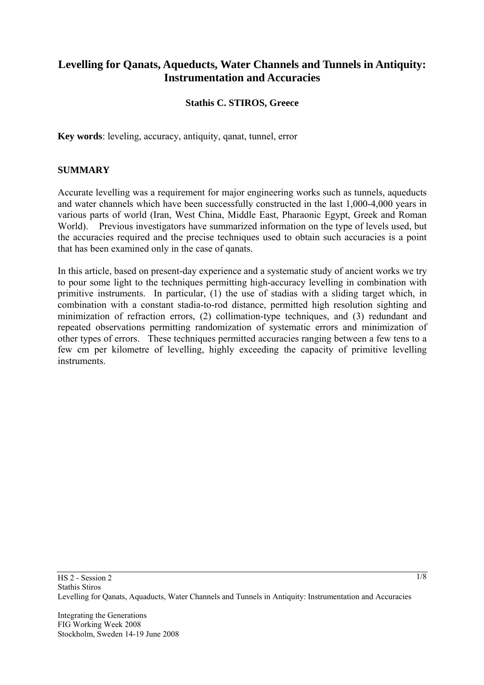# **Levelling for Qanats, Aqueducts, Water Channels and Tunnels in Antiquity: Instrumentation and Accuracies**

### **Stathis C. STIROS, Greece**

**Key words**: leveling, accuracy, antiquity, qanat, tunnel, error

#### **SUMMARY**

Accurate levelling was a requirement for major engineering works such as tunnels, aqueducts and water channels which have been successfully constructed in the last 1,000-4,000 years in various parts of world (Iran, West China, Middle East, Pharaonic Egypt, Greek and Roman World). Previous investigators have summarized information on the type of levels used, but the accuracies required and the precise techniques used to obtain such accuracies is a point that has been examined only in the case of qanats.

In this article, based on present-day experience and a systematic study of ancient works we try to pour some light to the techniques permitting high-accuracy levelling in combination with primitive instruments. In particular, (1) the use of stadias with a sliding target which, in combination with a constant stadia-to-rod distance, permitted high resolution sighting and minimization of refraction errors, (2) collimation-type techniques, and (3) redundant and repeated observations permitting randomization of systematic errors and minimization of other types of errors. These techniques permitted accuracies ranging between a few tens to a few cm per kilometre of levelling, highly exceeding the capacity of primitive levelling instruments.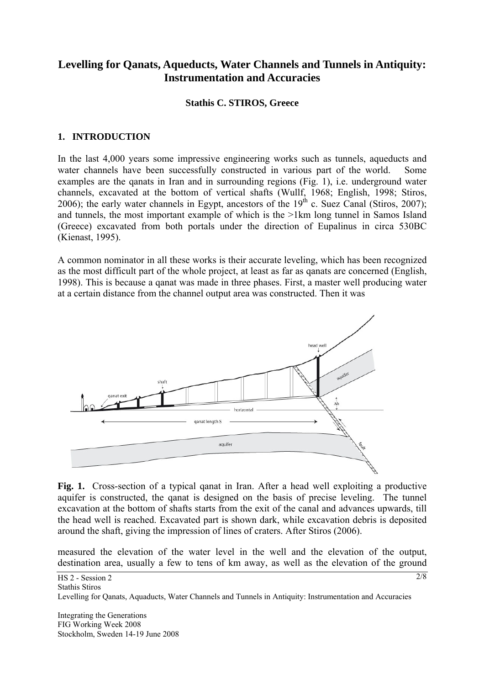# **Levelling for Qanats, Aqueducts, Water Channels and Tunnels in Antiquity: Instrumentation and Accuracies**

#### **Stathis C. STIROS, Greece**

### **1. INTRODUCTION**

In the last 4,000 years some impressive engineering works such as tunnels, aqueducts and water channels have been successfully constructed in various part of the world. Some examples are the qanats in Iran and in surrounding regions (Fig. 1), i.e. underground water channels, excavated at the bottom of vertical shafts (Wullf, 1968; English, 1998; Stiros, 2006); the early water channels in Egypt, ancestors of the  $19<sup>th</sup>$  c. Suez Canal (Stiros, 2007); and tunnels, the most important example of which is the >1km long tunnel in Samos Island (Greece) excavated from both portals under the direction of Eupalinus in circa 530BC (Kienast, 1995).

Α common nominator in all these works is their accurate leveling, which has been recognized as the most difficult part of the whole project, at least as far as qanats are concerned (English, 1998). This is because a qanat was made in three phases. First, a master well producing water at a certain distance from the channel output area was constructed. Then it was



Fig. 1. Cross-section of a typical ganat in Iran. After a head well exploiting a productive aquifer is constructed, the qanat is designed on the basis of precise leveling. The tunnel excavation at the bottom of shafts starts from the exit of the canal and advances upwards, till the head well is reached. Excavated part is shown dark, while excavation debris is deposited around the shaft, giving the impression of lines of craters. After Stiros (2006).

measured the elevation of the water level in the well and the elevation of the output, destination area, usually a few to tens of km away, as well as the elevation of the ground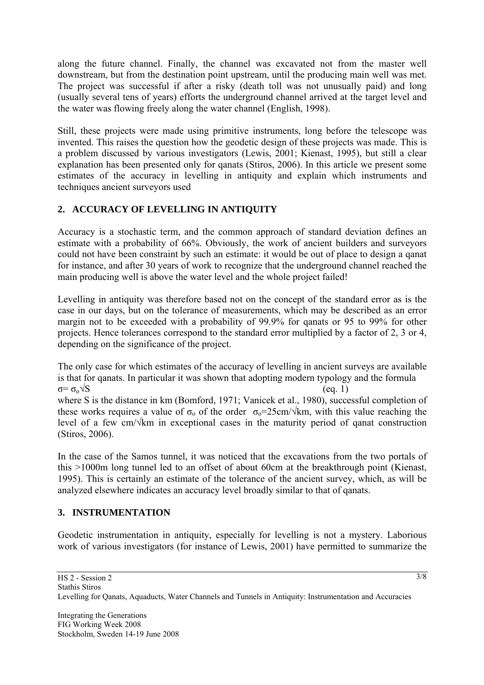along the future channel. Finally, the channel was excavated not from the master well downstream, but from the destination point upstream, until the producing main well was met. The project was successful if after a risky (death toll was not unusually paid) and long (usually several tens of years) efforts the underground channel arrived at the target level and the water was flowing freely along the water channel (English, 1998).

Still, these projects were made using primitive instruments, long before the telescope was invented. This raises the question how the geodetic design of these projects was made. This is a problem discussed by various investigators (Lewis, 2001; Kienast, 1995), but still a clear explanation has been presented only for qanats (Stiros, 2006). In this article we present some estimates of the accuracy in levelling in antiquity and explain which instruments and techniques ancient surveyors used

## **2. ACCURACY OF LEVELLING IN ANTIQUITY**

Accuracy is a stochastic term, and the common approach of standard deviation defines an estimate with a probability of 66%. Obviously, the work of ancient builders and surveyors could not have been constraint by such an estimate: it would be out of place to design a qanat for instance, and after 30 years of work to recognize that the underground channel reached the main producing well is above the water level and the whole project failed!

Levelling in antiquity was therefore based not on the concept of the standard error as is the case in our days, but on the tolerance of measurements, which may be described as an error margin not to be exceeded with a probability of 99.9% for qanats or 95 to 99% for other projects. Hence tolerances correspond to the standard error multiplied by a factor of 2, 3 or 4, depending on the significance of the project.

The only case for which estimates of the accuracy of levelling in ancient surveys are available is that for qanats. In particular it was shown that adopting modern typology and the formula  $\sigma = \sigma_0 \sqrt{S}$  (eq. 1) where S is the distance in km (Bomford, 1971; Vanicek et al., 1980), successful completion of these works requires a value of  $\sigma_0$  of the order  $\sigma_0=25$ cm/ $\sqrt{km}$ , with this value reaching the level of a few cm/√km in exceptional cases in the maturity period of qanat construction (Stiros, 2006).

In the case of the Samos tunnel, it was noticed that the excavations from the two portals of this >1000m long tunnel led to an offset of about 60cm at the breakthrough point (Kienast, 1995). This is certainly an estimate of the tolerance of the ancient survey, which, as will be analyzed elsewhere indicates an accuracy level broadly similar to that of qanats.

## **3. INSTRUMENTATION**

Geodetic instrumentation in antiquity, especially for levelling is not a mystery. Laborious work of various investigators (for instance of Lewis, 2001) have permitted to summarize the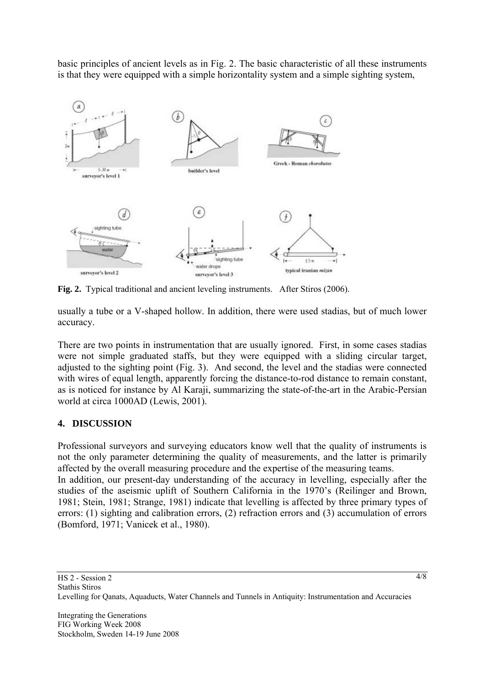basic principles of ancient levels as in Fig. 2. The basic characteristic of all these instruments is that they were equipped with a simple horizontality system and a simple sighting system,



**Fig. 2.** Typical traditional and ancient leveling instruments. After Stiros (2006).

usually a tube or a V-shaped hollow. In addition, there were used stadias, but of much lower accuracy.

There are two points in instrumentation that are usually ignored. First, in some cases stadias were not simple graduated staffs, but they were equipped with a sliding circular target, adjusted to the sighting point (Fig. 3). And second, the level and the stadias were connected with wires of equal length, apparently forcing the distance-to-rod distance to remain constant, as is noticed for instance by Al Karaji, summarizing the state-of-the-art in the Arabic-Persian world at circa 1000AD (Lewis, 2001).

## **4. DISCUSSION**

Professional surveyors and surveying educators know well that the quality of instruments is not the only parameter determining the quality of measurements, and the latter is primarily affected by the overall measuring procedure and the expertise of the measuring teams. In addition, our present-day understanding of the accuracy in levelling, especially after the studies of the aseismic uplift of Southern California in the 1970's (Reilinger and Brown, 1981; Stein, 1981; Strange, 1981) indicate that levelling is affected by three primary types of errors: (1) sighting and calibration errors, (2) refraction errors and (3) accumulation of errors (Bomford, 1971; Vanicek et al., 1980).

4/8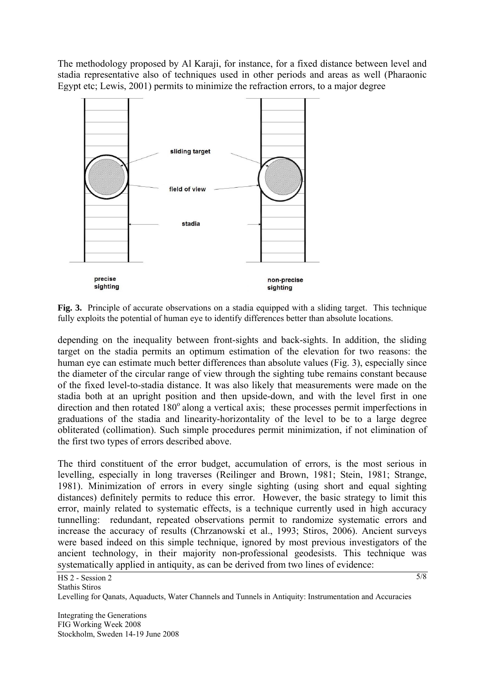The methodology proposed by Al Karaji, for instance, for a fixed distance between level and stadia representative also of techniques used in other periods and areas as well (Pharaonic Egypt etc; Lewis, 2001) permits to minimize the refraction errors, to a major degree



**Fig. 3.** Principle of accurate observations on a stadia equipped with a sliding target. This technique fully exploits the potential of human eye to identify differences better than absolute locations.

depending on the inequality between front-sights and back-sights. In addition, the sliding target on the stadia permits an optimum estimation of the elevation for two reasons: the human eye can estimate much better differences than absolute values (Fig. 3), especially since the diameter of the circular range of view through the sighting tube remains constant because of the fixed level-to-stadia distance. It was also likely that measurements were made on the stadia both at an upright position and then upside-down, and with the level first in one direction and then rotated  $180^\circ$  along a vertical axis; these processes permit imperfections in graduations of the stadia and linearity-horizontality of the level to be to a large degree obliterated (collimation). Such simple procedures permit minimization, if not elimination of the first two types of errors described above.

The third constituent of the error budget, accumulation of errors, is the most serious in levelling, especially in long traverses (Reilinger and Brown, 1981; Stein, 1981; Strange, 1981). Minimization of errors in every single sighting (using short and equal sighting distances) definitely permits to reduce this error. However, the basic strategy to limit this error, mainly related to systematic effects, is a technique currently used in high accuracy tunnelling: redundant, repeated observations permit to randomize systematic errors and increase the accuracy of results (Chrzanowski et al., 1993; Stiros, 2006). Ancient surveys were based indeed on this simple technique, ignored by most previous investigators of the ancient technology, in their majority non-professional geodesists. This technique was systematically applied in antiquity, as can be derived from two lines of evidence: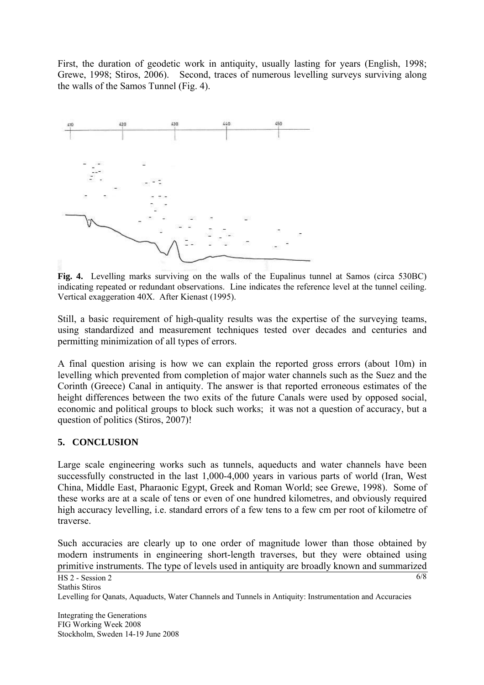First, the duration of geodetic work in antiquity, usually lasting for years (English, 1998; Grewe, 1998; Stiros, 2006). Second, traces of numerous levelling surveys surviving along the walls of the Samos Tunnel (Fig. 4).



**Fig. 4.** Levelling marks surviving on the walls of the Eupalinus tunnel at Samos (circa 530BC) indicating repeated or redundant observations. Line indicates the reference level at the tunnel ceiling. Vertical exaggeration 40X. After Kienast (1995).

Still, a basic requirement of high-quality results was the expertise of the surveying teams, using standardized and measurement techniques tested over decades and centuries and permitting minimization of all types of errors.

A final question arising is how we can explain the reported gross errors (about 10m) in levelling which prevented from completion of major water channels such as the Suez and the Corinth (Greece) Canal in antiquity. The answer is that reported erroneous estimates of the height differences between the two exits of the future Canals were used by opposed social, economic and political groups to block such works; it was not a question of accuracy, but a question of politics (Stiros, 2007)!

### **5. CONCLUSION**

Large scale engineering works such as tunnels, aqueducts and water channels have been successfully constructed in the last 1,000-4,000 years in various parts of world (Iran, West China, Middle East, Pharaonic Egypt, Greek and Roman World; see Grewe, 1998). Some of these works are at a scale of tens or even of one hundred kilometres, and obviously required high accuracy levelling, i.e. standard errors of a few tens to a few cm per root of kilometre of traverse.

Such accuracies are clearly up to one order of magnitude lower than those obtained by modern instruments in engineering short-length traverses, but they were obtained using primitive instruments. The type of levels used in antiquity are broadly known and summarized

Integrating the Generations FIG Working Week 2008 Stockholm, Sweden 14-19 June 2008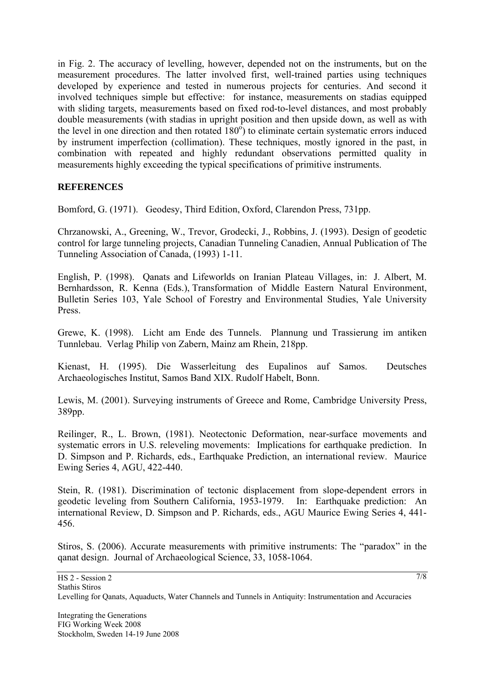in Fig. 2. The accuracy of levelling, however, depended not on the instruments, but on the measurement procedures. The latter involved first, well-trained parties using techniques developed by experience and tested in numerous projects for centuries. And second it involved techniques simple but effective: for instance, measurements on stadias equipped with sliding targets, measurements based on fixed rod-to-level distances, and most probably double measurements (with stadias in upright position and then upside down, as well as with the level in one direction and then rotated  $180^\circ$ ) to eliminate certain systematic errors induced by instrument imperfection (collimation). These techniques, mostly ignored in the past, in combination with repeated and highly redundant observations permitted quality in measurements highly exceeding the typical specifications of primitive instruments.

### **REFERENCES**

Bomford, G. (1971). Geodesy, Third Edition, Oxford, Clarendon Press, 731pp.

Chrzanowski, A., Greening, W., Trevor, Grodecki, J., Robbins, J. (1993). Design of geodetic control for large tunneling projects, Canadian Tunneling Canadien, Annual Publication of The Tunneling Association of Canada, (1993) 1-11.

English, P. (1998). Qanats and Lifeworlds on Iranian Plateau Villages, in: J. Albert, M. Bernhardsson, R. Kenna (Eds.), Transformation of Middle Eastern Natural Environment, Bulletin Series 103, Yale School of Forestry and Environmental Studies, Yale University Press.

Grewe, K. (1998). Licht am Ende des Tunnels. Plannung und Trassierung im antiken Tunnlebau. Verlag Philip von Zabern, Mainz am Rhein, 218pp.

Kienast, Η. (1995). Die Wasserleitung des Eupalinos auf Samos. Deutsches Archaeologisches Institut, Samos Band XIX. Rudolf Habelt, Bonn.

Lewis, M. (2001). Surveying instruments of Greece and Rome, Cambridge University Press, 389pp.

Reilinger, R., L. Brown, (1981). Neotectonic Deformation, near-surface movements and systematic errors in U.S. releveling movements: Implications for earthquake prediction. In D. Simpson and P. Richards, eds., Earthquake Prediction, an international review. Maurice Ewing Series 4, AGU, 422-440.

Stein, R. (1981). Discrimination of tectonic displacement from slope-dependent errors in geodetic leveling from Southern California, 1953-1979. In: Earthquake prediction: An international Review, D. Simpson and P. Richards, eds., AGU Maurice Ewing Series 4, 441- 456.

Stiros, S. (2006). Accurate measurements with primitive instruments: The "paradox" in the qanat design. Journal of Archaeological Science, 33, 1058-1064.